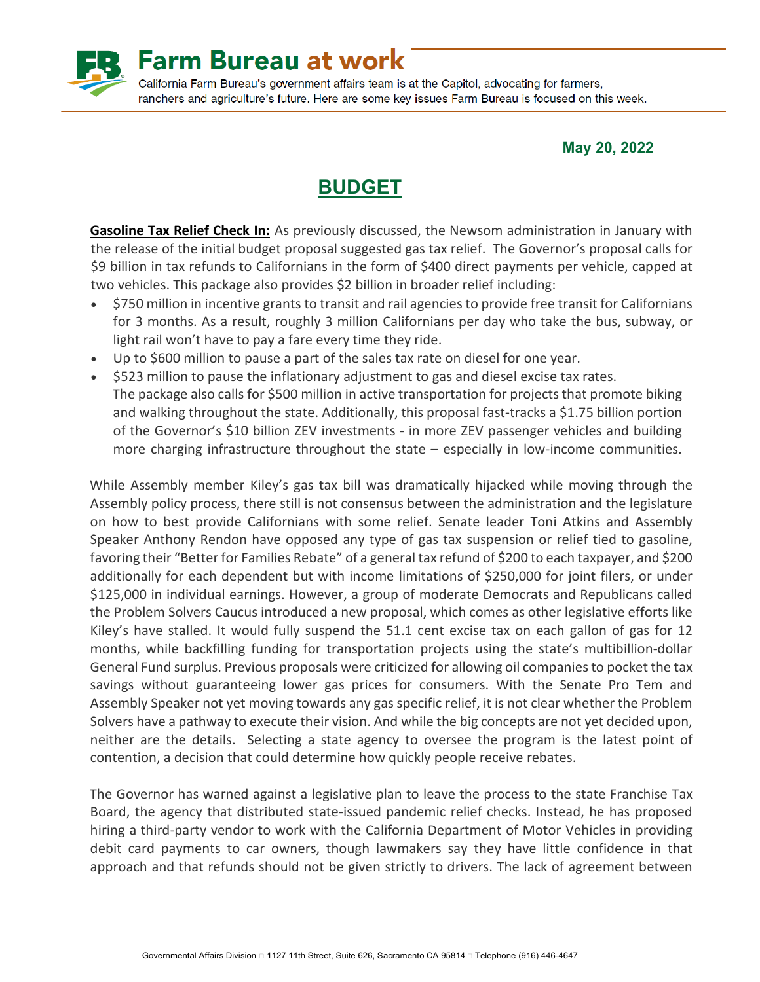

**May 20, 2022**

# **BUDGET**

**Gasoline Tax Relief Check In:** As previously discussed, the Newsom administration in January with the release of the initial budget proposal suggested gas tax relief. The Governor's proposal calls for \$9 billion in tax refunds to Californians in the form of \$400 direct payments per vehicle, capped at two vehicles. This package also provides \$2 billion in broader relief including:

- \$750 million in incentive grants to transit and rail agencies to provide free transit for Californians for 3 months. As a result, roughly 3 million Californians per day who take the bus, subway, or light rail won't have to pay a fare every time they ride.
- Up to \$600 million to pause a part of the sales tax rate on diesel for one year.
- \$523 million to pause the inflationary adjustment to gas and diesel excise tax rates. The package also calls for \$500 million in active transportation for projects that promote biking and walking throughout the state. Additionally, this proposal fast-tracks a \$1.75 billion portion of the Governor's \$10 billion ZEV investments - in more ZEV passenger vehicles and building more charging infrastructure throughout the state – especially in low-income communities.

While Assembly member Kiley's gas tax bill was dramatically hijacked while moving through the Assembly policy process, there still is not consensus between the administration and the legislature on how to best provide Californians with some relief. Senate leader Toni Atkins and Assembly Speaker Anthony Rendon have opposed any type of gas tax suspension or relief tied to gasoline, favoring their "Better for Families Rebate" of a general tax refund of \$200 to each taxpayer, and \$200 additionally for each dependent but with income limitations of \$250,000 for joint filers, or under \$125,000 in individual earnings. However, a group of moderate Democrats and Republicans called the Problem Solvers Caucus introduced a new proposal, which comes as other legislative efforts like Kiley's have stalled. It would fully suspend the 51.1 cent excise tax on each gallon of gas for 12 months, while backfilling funding for transportation projects using the state's multibillion-dollar General Fund surplus. Previous proposals were criticized for allowing oil companies to pocket the tax savings without guaranteeing lower gas prices for consumers. With the Senate Pro Tem and Assembly Speaker not yet moving towards any gas specific relief, it is not clear whether the Problem Solvers have a pathway to execute their vision. And while the big concepts are not yet decided upon, neither are the details. Selecting a state agency to oversee the program is the latest point of contention, a decision that could determine how quickly people receive rebates.

The Governor has warned against a legislative plan to leave the process to the state Franchise Tax Board, the agency that distributed state-issued pandemic relief checks. Instead, he has proposed hiring a third-party vendor to work with the California Department of Motor Vehicles in providing debit card payments to car owners, though lawmakers say they have little confidence in that approach and that refunds should not be given strictly to drivers. The lack of agreement between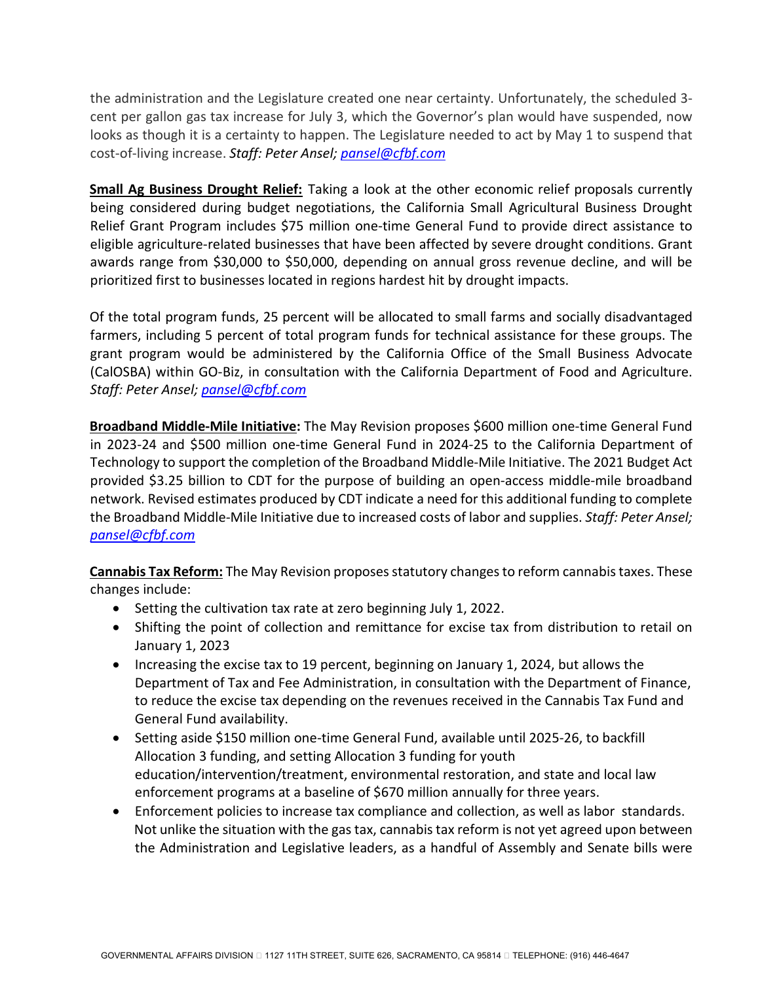the administration and the Legislature created one near certainty. Unfortunately, the scheduled 3 cent per gallon gas tax increase for July 3, which the Governor's plan would have suspended, now looks as though it is a certainty to happen. The Legislature needed to act by May 1 to suspend that cost-of-living increase. *Staff: Peter Ansel; [pansel@cfbf.com](mailto:pansel@cfbf.com)*

**Small Ag Business Drought Relief:** Taking a look at the other economic relief proposals currently being considered during budget negotiations, the California Small Agricultural Business Drought Relief Grant Program includes \$75 million one-time General Fund to provide direct assistance to eligible agriculture-related businesses that have been affected by severe drought conditions. Grant awards range from \$30,000 to \$50,000, depending on annual gross revenue decline, and will be prioritized first to businesses located in regions hardest hit by drought impacts.

Of the total program funds, 25 percent will be allocated to small farms and socially disadvantaged farmers, including 5 percent of total program funds for technical assistance for these groups. The grant program would be administered by the California Office of the Small Business Advocate (CalOSBA) within GO-Biz, in consultation with the California Department of Food and Agriculture. *Staff: Peter Ansel; [pansel@cfbf.com](mailto:pansel@cfbf.com)*

**Broadband Middle-Mile Initiative:** The May Revision proposes \$600 million one-time General Fund in 2023-24 and \$500 million one-time General Fund in 2024-25 to the California Department of Technology to support the completion of the Broadband Middle-Mile Initiative. The 2021 Budget Act provided \$3.25 billion to CDT for the purpose of building an open-access middle-mile broadband network. Revised estimates produced by CDT indicate a need for this additional funding to complete the Broadband Middle-Mile Initiative due to increased costs of labor and supplies. *Staff: Peter Ansel; [pansel@cfbf.com](mailto:pansel@cfbf.com)*

**Cannabis Tax Reform:** The May Revision proposes statutory changes to reform cannabis taxes. These changes include:

- Setting the cultivation tax rate at zero beginning July 1, 2022.
- Shifting the point of collection and remittance for excise tax from distribution to retail on January 1, 2023
- Increasing the excise tax to 19 percent, beginning on January 1, 2024, but allows the Department of Tax and Fee Administration, in consultation with the Department of Finance, to reduce the excise tax depending on the revenues received in the Cannabis Tax Fund and General Fund availability.
- Setting aside \$150 million one-time General Fund, available until 2025-26, to backfill Allocation 3 funding, and setting Allocation 3 funding for youth education/intervention/treatment, environmental restoration, and state and local law enforcement programs at a baseline of \$670 million annually for three years.
- Enforcement policies to increase tax compliance and collection, as well as labor standards. Not unlike the situation with the gas tax, cannabis tax reform is not yet agreed upon between the Administration and Legislative leaders, as a handful of Assembly and Senate bills were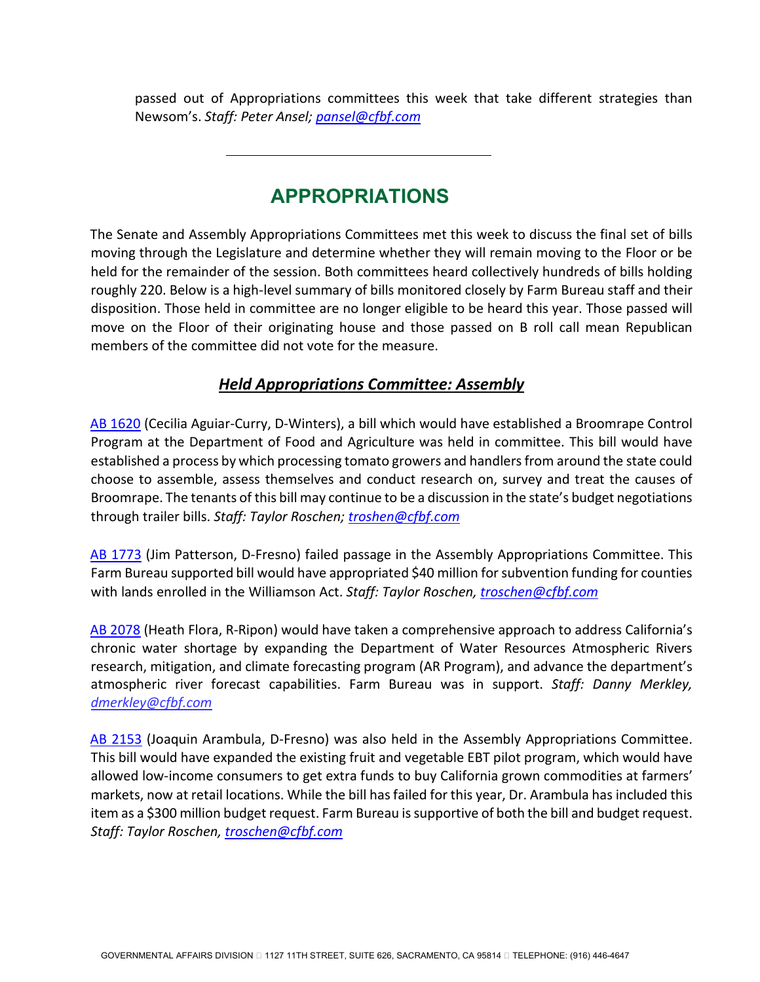passed out of Appropriations committees this week that take different strategies than Newsom's. *Staff: Peter Ansel; [pansel@cfbf.com](mailto:pansel@cfbf.com)*

# **APPROPRIATIONS**

The Senate and Assembly Appropriations Committees met this week to discuss the final set of bills moving through the Legislature and determine whether they will remain moving to the Floor or be held for the remainder of the session. Both committees heard collectively hundreds of bills holding roughly 220. Below is a high-level summary of bills monitored closely by Farm Bureau staff and their disposition. Those held in committee are no longer eligible to be heard this year. Those passed will move on the Floor of their originating house and those passed on B roll call mean Republican members of the committee did not vote for the measure.

#### *Held Appropriations Committee: Assembly*

[AB 1620](https://leginfo.legislature.ca.gov/faces/billNavClient.xhtml?bill_id=202120220AB1620) (Cecilia Aguiar-Curry, D-Winters), a bill which would have established a Broomrape Control Program at the Department of Food and Agriculture was held in committee. This bill would have established a process by which processing tomato growers and handlers from around the state could choose to assemble, assess themselves and conduct research on, survey and treat the causes of Broomrape. The tenants of this bill may continue to be a discussion in the state's budget negotiations through trailer bills. *Staff: Taylor Roschen; [troshen@cfbf.com](mailto:troshen@cfbf.com)*

[AB 1773](https://leginfo.legislature.ca.gov/faces/billNavClient.xhtml?bill_id=202120220AB1773) (Jim Patterson, D-Fresno) failed passage in the Assembly Appropriations Committee. This Farm Bureau supported bill would have appropriated \$40 million for subvention funding for counties with lands enrolled in the Williamson Act. *Staff: Taylor Roschen, [troschen@cfbf.com](mailto:troschen@cfbf.com)* 

[AB 2078](https://leginfo.legislature.ca.gov/faces/billNavClient.xhtml?bill_id=202120220AB2078) (Heath Flora, R-Ripon) would have taken a comprehensive approach to address California's chronic water shortage by expanding the Department of Water Resources Atmospheric Rivers research, mitigation, and climate forecasting program (AR Program), and advance the department's atmospheric river forecast capabilities. Farm Bureau was in support. *Staff: Danny Merkley, [dmerkley@cfbf.com](mailto:dmerkley@cfbf.com)*

[AB 2153](https://leginfo.legislature.ca.gov/faces/billNavClient.xhtml?bill_id=202120220AB2153) (Joaquin Arambula, D-Fresno) was also held in the Assembly Appropriations Committee. This bill would have expanded the existing fruit and vegetable EBT pilot program, which would have allowed low-income consumers to get extra funds to buy California grown commodities at farmers' markets, now at retail locations. While the bill has failed for this year, Dr. Arambula has included this item as a \$300 million budget request. Farm Bureau is supportive of both the bill and budget request. *Staff: Taylor Roschen, [troschen@cfbf.com](mailto:troschen@cfbf.com)*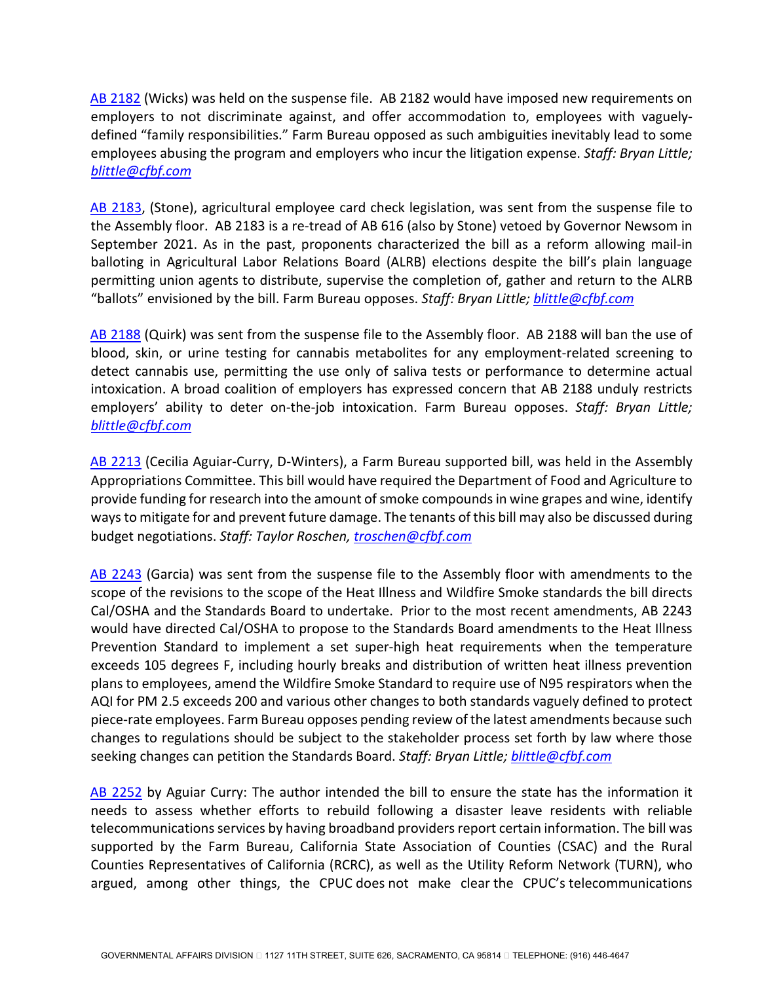[AB 2182](https://leginfo.legislature.ca.gov/faces/billNavClient.xhtml?bill_id=202120220AB2182) (Wicks) was held on the suspense file. AB 2182 would have imposed new requirements on employers to not discriminate against, and offer accommodation to, employees with vaguelydefined "family responsibilities." Farm Bureau opposed as such ambiguities inevitably lead to some employees abusing the program and employers who incur the litigation expense. *Staff: Bryan Little; [blittle@cfbf.com](mailto:blittle@cfbf.com)* 

[AB 2183,](https://leginfo.legislature.ca.gov/faces/billNavClient.xhtml?bill_id=202120220AB2183) (Stone), agricultural employee card check legislation, was sent from the suspense file to the Assembly floor. AB 2183 is a re-tread of AB 616 (also by Stone) vetoed by Governor Newsom in September 2021. As in the past, proponents characterized the bill as a reform allowing mail-in balloting in Agricultural Labor Relations Board (ALRB) elections despite the bill's plain language permitting union agents to distribute, supervise the completion of, gather and return to the ALRB "ballots" envisioned by the bill. Farm Bureau opposes. *Staff: Bryan Little; [blittle@cfbf.com](mailto:blittle@cfbf.com)*

[AB 2188](https://leginfo.legislature.ca.gov/faces/billNavClient.xhtml?bill_id=202120220AB2188) (Quirk) was sent from the suspense file to the Assembly floor. AB 2188 will ban the use of blood, skin, or urine testing for cannabis metabolites for any employment-related screening to detect cannabis use, permitting the use only of saliva tests or performance to determine actual intoxication. A broad coalition of employers has expressed concern that AB 2188 unduly restricts employers' ability to deter on-the-job intoxication. Farm Bureau opposes. *Staff: Bryan Little; [blittle@cfbf.com](mailto:blittle@cfbf.com)* 

[AB 2213](https://leginfo.legislature.ca.gov/faces/billNavClient.xhtml?bill_id=202120220AB2213) (Cecilia Aguiar-Curry, D-Winters), a Farm Bureau supported bill, was held in the Assembly Appropriations Committee. This bill would have required the Department of Food and Agriculture to provide funding for research into the amount of smoke compounds in wine grapes and wine, identify ways to mitigate for and prevent future damage. The tenants of this bill may also be discussed during budget negotiations. *Staff: Taylor Roschen, [troschen@cfbf.com](mailto:troschen@cfbf.com)* 

[AB 2243](https://leginfo.legislature.ca.gov/faces/billNavClient.xhtml?bill_id=202120220AB2243) (Garcia) was sent from the suspense file to the Assembly floor with amendments to the scope of the revisions to the scope of the Heat Illness and Wildfire Smoke standards the bill directs Cal/OSHA and the Standards Board to undertake. Prior to the most recent amendments, AB 2243 would have directed Cal/OSHA to propose to the Standards Board amendments to the Heat Illness Prevention Standard to implement a set super-high heat requirements when the temperature exceeds 105 degrees F, including hourly breaks and distribution of written heat illness prevention plans to employees, amend the Wildfire Smoke Standard to require use of N95 respirators when the AQI for PM 2.5 exceeds 200 and various other changes to both standards vaguely defined to protect piece-rate employees. Farm Bureau opposes pending review of the latest amendments because such changes to regulations should be subject to the stakeholder process set forth by law where those seeking changes can petition the Standards Board. *Staff: Bryan Little[; blittle@cfbf.com](mailto:blittle@cfbf.com)* 

[AB 2252](https://leginfo.legislature.ca.gov/faces/billNavClient.xhtml?bill_id=202120220AB2252) by Aguiar Curry: The author intended the bill to ensure the state has the information it needs to assess whether efforts to rebuild following a disaster leave residents with reliable telecommunications services by having broadband providers report certain information. The bill was supported by the Farm Bureau, California State Association of Counties (CSAC) and the Rural Counties Representatives of California (RCRC), as well as the Utility Reform Network (TURN), who argued, among other things, the CPUC does not make clear the CPUC's telecommunications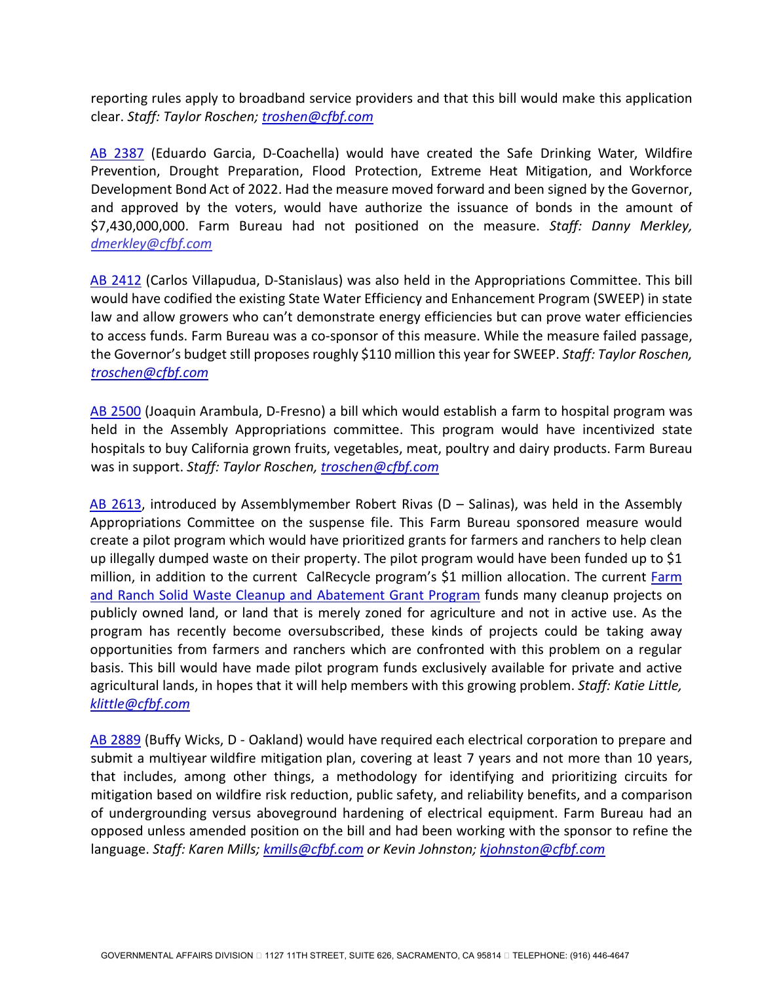reporting rules apply to broadband service providers and that this bill would make this application clear. *Staff: Taylor Roschen; [troshen@cfbf.com](mailto:troshen@cfbf.com)* 

[AB 2387](https://leginfo.legislature.ca.gov/faces/billNavClient.xhtml?bill_id=202120220AB2387) (Eduardo Garcia, D-Coachella) would have created the Safe Drinking Water, Wildfire Prevention, Drought Preparation, Flood Protection, Extreme Heat Mitigation, and Workforce Development Bond Act of 2022. Had the measure moved forward and been signed by the Governor, and approved by the voters, would have authorize the issuance of bonds in the amount of \$7,430,000,000. Farm Bureau had not positioned on the measure. *Staff: Danny Merkley, [dmerkley@cfbf.com](mailto:dmerkley@cfbf.com)* 

[AB 2412](https://leginfo.legislature.ca.gov/faces/billNavClient.xhtml?bill_id=202120220AB2412) (Carlos Villapudua, D-Stanislaus) was also held in the Appropriations Committee. This bill would have codified the existing State Water Efficiency and Enhancement Program (SWEEP) in state law and allow growers who can't demonstrate energy efficiencies but can prove water efficiencies to access funds. Farm Bureau was a co-sponsor of this measure. While the measure failed passage, the Governor's budget still proposes roughly \$110 million this year for SWEEP. *Staff: Taylor Roschen, [troschen@cfbf.com](mailto:troschen@cfbf.com)* 

[AB 2500](https://leginfo.legislature.ca.gov/faces/billNavClient.xhtml?bill_id=202120220AB2500) (Joaquin Arambula, D-Fresno) a bill which would establish a farm to hospital program was held in the Assembly Appropriations committee. This program would have incentivized state hospitals to buy California grown fruits, vegetables, meat, poultry and dairy products. Farm Bureau was in support. *Staff: Taylor Roschen, [troschen@cfbf.com](mailto:troschen@cfbf.com)* 

[AB 2613,](https://leginfo.legislature.ca.gov/faces/billNavClient.xhtml?bill_id=202120220AB2613) introduced by Assemblymember Robert Rivas (D – Salinas), was held in the Assembly Appropriations Committee on the suspense file. This Farm Bureau sponsored measure would create a pilot program which would have prioritized grants for farmers and ranchers to help clean up illegally dumped waste on their property. The pilot program would have been funded up to \$1 million, in addition to the current CalRecycle program's \$1 million allocation. The current [Farm](https://calrecycle.ca.gov/LEA/GrantsLoans/FarmRanch/)  [and Ranch Solid Waste Cleanup and Abatement Grant Program](https://calrecycle.ca.gov/LEA/GrantsLoans/FarmRanch/) funds many cleanup projects on publicly owned land, or land that is merely zoned for agriculture and not in active use. As the program has recently become oversubscribed, these kinds of projects could be taking away opportunities from farmers and ranchers which are confronted with this problem on a regular basis. This bill would have made pilot program funds exclusively available for private and active agricultural lands, in hopes that it will help members with this growing problem. *Staff: Katie Little, [klittle@cfbf.com](mailto:klittle@cfbf.com)* 

[AB 2889](https://leginfo.legislature.ca.gov/faces/billNavClient.xhtml?bill_id=202120220AB2889) (Buffy Wicks, D - Oakland) would have required each electrical corporation to prepare and submit a multiyear wildfire mitigation plan, covering at least 7 years and not more than 10 years, that includes, among other things, a methodology for identifying and prioritizing circuits for mitigation based on wildfire risk reduction, public safety, and reliability benefits, and a comparison of undergrounding versus aboveground hardening of electrical equipment. Farm Bureau had an opposed unless amended position on the bill and had been working with the sponsor to refine the language. *Staff: Karen Mills; [kmills@cfbf.com](mailto:kmills@cfbf.com) or Kevin Johnston; [kjohnston@cfbf.com](mailto:kjohnston@cfbf.com)*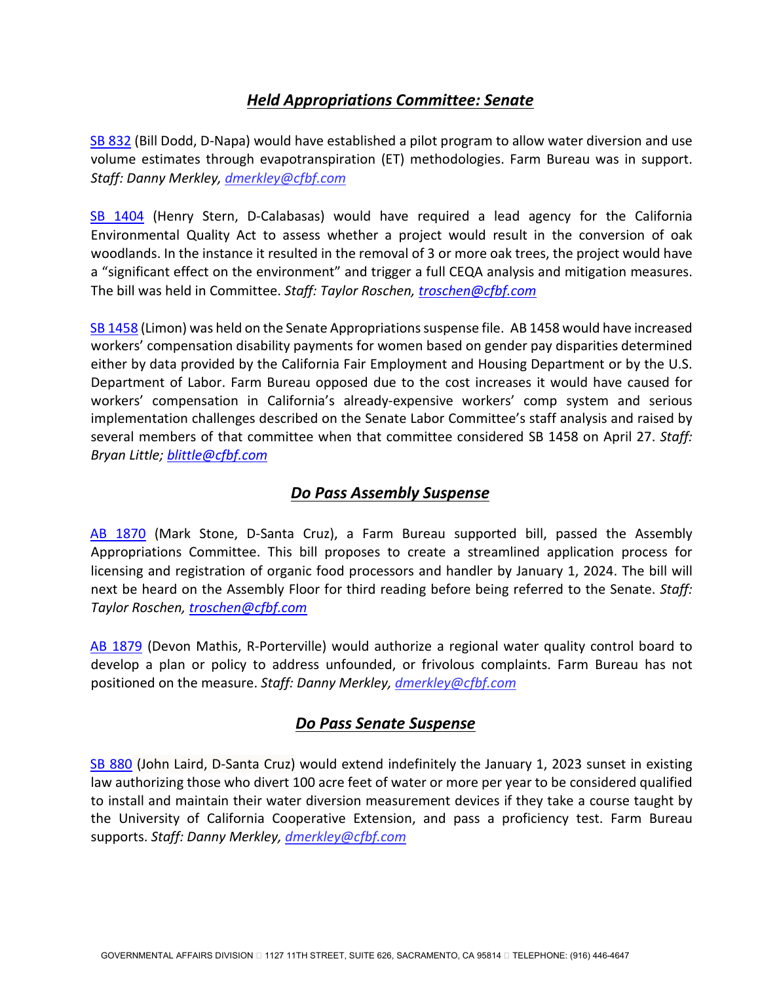#### *Held Appropriations Committee: Senate*

[SB 832](https://leginfo.legislature.ca.gov/faces/billNavClient.xhtml?bill_id=202120220SB832) (Bill Dodd, D-Napa) would have established a pilot program to allow water diversion and use volume estimates through evapotranspiration (ET) methodologies. Farm Bureau was in support. *Staff: Danny Merkley, [dmerkley@cfbf.com](mailto:dmerkley@cfbf.com)*

[SB 1404](https://leginfo.legislature.ca.gov/faces/billNavClient.xhtml?bill_id=202120220SB1404) (Henry Stern, D-Calabasas) would have required a lead agency for the California Environmental Quality Act to assess whether a project would result in the conversion of oak woodlands. In the instance it resulted in the removal of 3 or more oak trees, the project would have a "significant effect on the environment" and trigger a full CEQA analysis and mitigation measures. The bill was held in Committee. *Staff: Taylor Roschen, [troschen@cfbf.com](mailto:troschen@cfbf.com)* 

[SB 1458](https://leginfo.legislature.ca.gov/faces/billNavClient.xhtml?bill_id=202120220SB1458) (Limon) was held on the Senate Appropriations suspense file. AB 1458 would have increased workers' compensation disability payments for women based on gender pay disparities determined either by data provided by the California Fair Employment and Housing Department or by the U.S. Department of Labor. Farm Bureau opposed due to the cost increases it would have caused for workers' compensation in California's already-expensive workers' comp system and serious implementation challenges described on the Senate Labor Committee's staff analysis and raised by several members of that committee when that committee considered SB 1458 on April 27. *Staff: Bryan Little; [blittle@cfbf.com](mailto:blittle@cfbf.com)*

#### *Do Pass Assembly Suspense*

[AB 1870](https://leginfo.legislature.ca.gov/faces/billNavClient.xhtml?bill_id=202120220AB1870) (Mark Stone, D-Santa Cruz), a Farm Bureau supported bill, passed the Assembly Appropriations Committee. This bill proposes to create a streamlined application process for licensing and registration of organic food processors and handler by January 1, 2024. The bill will next be heard on the Assembly Floor for third reading before being referred to the Senate. *Staff: Taylor Roschen, [troschen@cfbf.com](mailto:troschen@cfbf.com)* 

[AB 1879](https://leginfo.legislature.ca.gov/faces/billNavClient.xhtml?bill_id=202120220AB1879) (Devon Mathis, R-Porterville) would authorize a regional water quality control board to develop a plan or policy to address unfounded, or frivolous complaints. Farm Bureau has not positioned on the measure. *Staff: Danny Merkley, [dmerkley@cfbf.com](mailto:dmerkley@cfbf.com)* 

### *Do Pass Senate Suspense*

[SB 880](https://leginfo.legislature.ca.gov/faces/billNavClient.xhtml?bill_id=202120220SB880) (John Laird, D-Santa Cruz) would extend indefinitely the January 1, 2023 sunset in existing law authorizing those who divert 100 acre feet of water or more per year to be considered qualified to install and maintain their water diversion measurement devices if they take a course taught by the University of California Cooperative Extension, and pass a proficiency test. Farm Bureau supports. *Staff: Danny Merkley[, dmerkley@cfbf.com](mailto:dmerkley@cfbf.com)*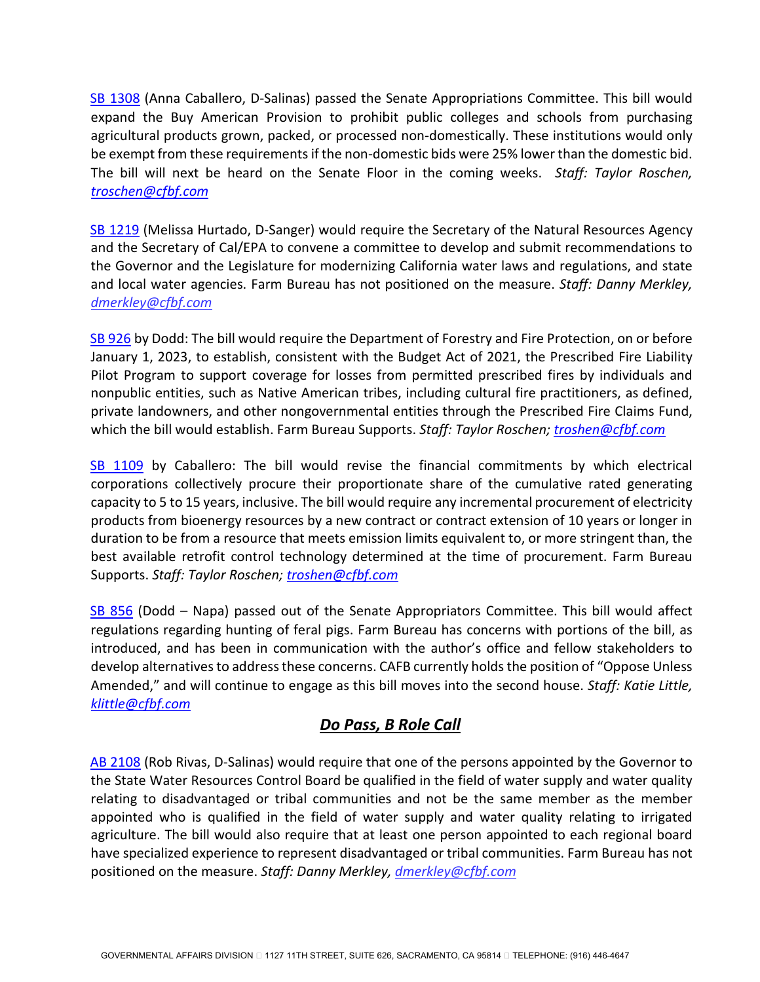[SB 1308](https://leginfo.legislature.ca.gov/faces/billNavClient.xhtml?bill_id=202120220SB1308) (Anna Caballero, D-Salinas) passed the Senate Appropriations Committee. This bill would expand the Buy American Provision to prohibit public colleges and schools from purchasing agricultural products grown, packed, or processed non-domestically. These institutions would only be exempt from these requirements if the non-domestic bids were 25% lower than the domestic bid. The bill will next be heard on the Senate Floor in the coming weeks. *Staff: Taylor Roschen, [troschen@cfbf.com](mailto:troschen@cfbf.com)* 

[SB 1219](https://leginfo.legislature.ca.gov/faces/billNavClient.xhtml?bill_id=202120220SB1219) (Melissa Hurtado, D-Sanger) would require the Secretary of the Natural Resources Agency and the Secretary of Cal/EPA to convene a committee to develop and submit recommendations to the Governor and the Legislature for modernizing California water laws and regulations, and state and local water agencies. Farm Bureau has not positioned on the measure. *Staff: Danny Merkley, [dmerkley@cfbf.com](mailto:dmerkley@cfbf.com)* 

[SB 926](https://leginfo.legislature.ca.gov/faces/billNavClient.xhtml?bill_id=202120220SB926) by Dodd: The bill would require the Department of Forestry and Fire Protection, on or before January 1, 2023, to establish, consistent with the Budget Act of 2021, the Prescribed Fire Liability Pilot Program to support coverage for losses from permitted prescribed fires by individuals and nonpublic entities, such as Native American tribes, including cultural fire practitioners, as defined, private landowners, and other nongovernmental entities through the Prescribed Fire Claims Fund, which the bill would establish. Farm Bureau Supports. *Staff: Taylor Roschen; [troshen@cfbf.com](mailto:troshen@cfbf.com)* 

[SB 1109](https://leginfo.legislature.ca.gov/faces/billNavClient.xhtml?bill_id=202120220SB1109) by Caballero: The bill would revise the financial commitments by which electrical corporations collectively procure their proportionate share of the cumulative rated generating capacity to 5 to 15 years, inclusive. The bill would require any incremental procurement of electricity products from bioenergy resources by a new contract or contract extension of 10 years or longer in duration to be from a resource that meets emission limits equivalent to, or more stringent than, the best available retrofit control technology determined at the time of procurement. Farm Bureau Supports. *Staff: Taylor Roschen; [troshen@cfbf.com](mailto:troshen@cfbf.com)* 

[SB 856](https://leginfo.legislature.ca.gov/faces/billNavClient.xhtml?bill_id=202120220SB856) (Dodd – Napa) passed out of the Senate Appropriators Committee. This bill would affect regulations regarding hunting of feral pigs. Farm Bureau has concerns with portions of the bill, as introduced, and has been in communication with the author's office and fellow stakeholders to develop alternatives to address these concerns. CAFB currently holds the position of "Oppose Unless Amended," and will continue to engage as this bill moves into the second house. *Staff: Katie Little, [klittle@cfbf.com](mailto:klittle@cfbf.com)*

## *Do Pass, B Role Call*

[AB 2108](https://leginfo.legislature.ca.gov/faces/billNavClient.xhtml?bill_id=202120220AB2108) (Rob Rivas, D-Salinas) would require that one of the persons appointed by the Governor to the State Water Resources Control Board be qualified in the field of water supply and water quality relating to disadvantaged or tribal communities and not be the same member as the member appointed who is qualified in the field of water supply and water quality relating to irrigated agriculture. The bill would also require that at least one person appointed to each regional board have specialized experience to represent disadvantaged or tribal communities. Farm Bureau has not positioned on the measure. *Staff: Danny Merkley, [dmerkley@cfbf.com](mailto:dmerkley@cfbf.com)*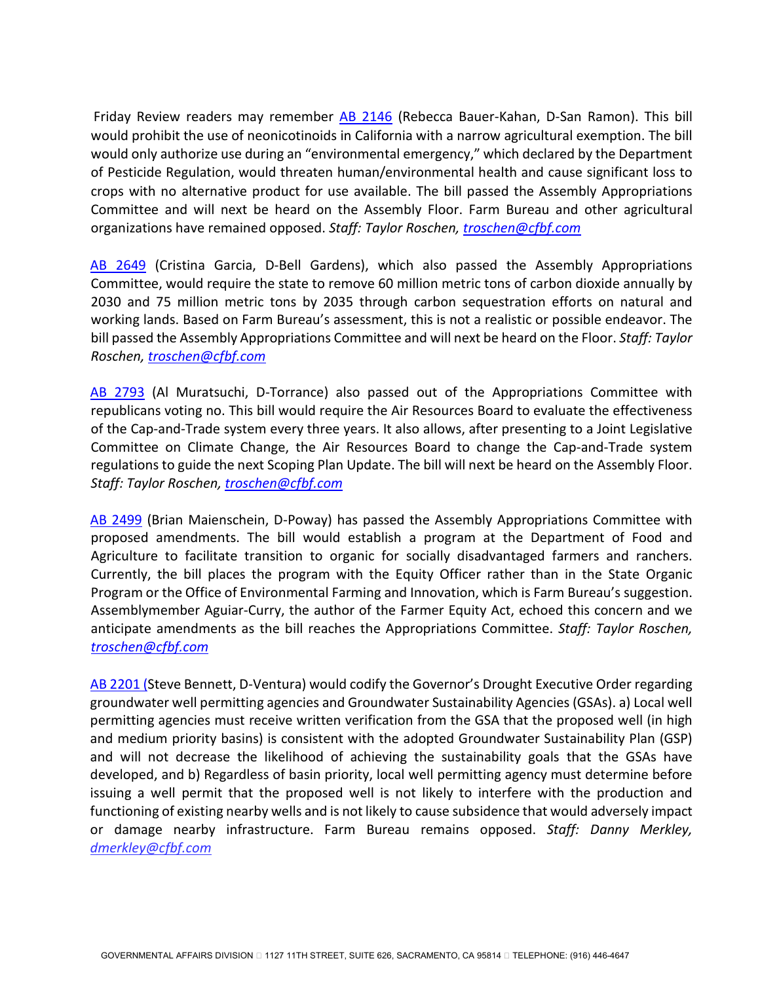Friday Review readers may remember [AB 2146](https://leginfo.legislature.ca.gov/faces/billNavClient.xhtml?bill_id=202120220AB2146) (Rebecca Bauer-Kahan, D-San Ramon). This bill would prohibit the use of neonicotinoids in California with a narrow agricultural exemption. The bill would only authorize use during an "environmental emergency," which declared by the Department of Pesticide Regulation, would threaten human/environmental health and cause significant loss to crops with no alternative product for use available. The bill passed the Assembly Appropriations Committee and will next be heard on the Assembly Floor. Farm Bureau and other agricultural organizations have remained opposed. *Staff: Taylor Roschen, [troschen@cfbf.com](mailto:troschen@cfbf.com)* 

[AB 2649](https://leginfo.legislature.ca.gov/faces/billNavClient.xhtml?bill_id=202120220AB2649) (Cristina Garcia, D-Bell Gardens), which also passed the Assembly Appropriations Committee, would require the state to remove 60 million metric tons of carbon dioxide annually by 2030 and 75 million metric tons by 2035 through carbon sequestration efforts on natural and working lands. Based on Farm Bureau's assessment, this is not a realistic or possible endeavor. The bill passed the Assembly Appropriations Committee and will next be heard on the Floor. *Staff: Taylor Roschen, [troschen@cfbf.com](mailto:troschen@cfbf.com)* 

[AB 2793](https://leginfo.legislature.ca.gov/faces/billNavClient.xhtml?bill_id=202120220AB2793) (Al Muratsuchi, D-Torrance) also passed out of the Appropriations Committee with republicans voting no. This bill would require the Air Resources Board to evaluate the effectiveness of the Cap-and-Trade system every three years. It also allows, after presenting to a Joint Legislative Committee on Climate Change, the Air Resources Board to change the Cap-and-Trade system regulations to guide the next Scoping Plan Update. The bill will next be heard on the Assembly Floor. *Staff: Taylor Roschen, [troschen@cfbf.com](mailto:troschen@cfbf.com)* 

[AB 2499](https://leginfo.legislature.ca.gov/faces/billNavClient.xhtml?bill_id=202120220AB2499) (Brian Maienschein, D-Poway) has passed the Assembly Appropriations Committee with proposed amendments. The bill would establish a program at the Department of Food and Agriculture to facilitate transition to organic for socially disadvantaged farmers and ranchers. Currently, the bill places the program with the Equity Officer rather than in the State Organic Program or the Office of Environmental Farming and Innovation, which is Farm Bureau's suggestion. Assemblymember Aguiar-Curry, the author of the Farmer Equity Act, echoed this concern and we anticipate amendments as the bill reaches the Appropriations Committee. *Staff: Taylor Roschen, [troschen@cfbf.com](mailto:troschen@cfbf.com)* 

AB 2201 (Steve Bennett, D-Ventura) would codify the Governor's Drought Executive Order regarding groundwater well permitting agencies and Groundwater Sustainability Agencies (GSAs). a) Local well permitting agencies must receive written verification from the GSA that the proposed well (in high and medium priority basins) is consistent with the adopted Groundwater Sustainability Plan (GSP) and will not decrease the likelihood of achieving the sustainability goals that the GSAs have developed, and b) Regardless of basin priority, local well permitting agency must determine before issuing a well permit that the proposed well is not likely to interfere with the production and functioning of existing nearby wells and is not likely to cause subsidence that would adversely impact or damage nearby infrastructure. Farm Bureau remains opposed. *Staff: Danny Merkley, [dmerkley@cfbf.com](mailto:dmerkley@cfbf.com)*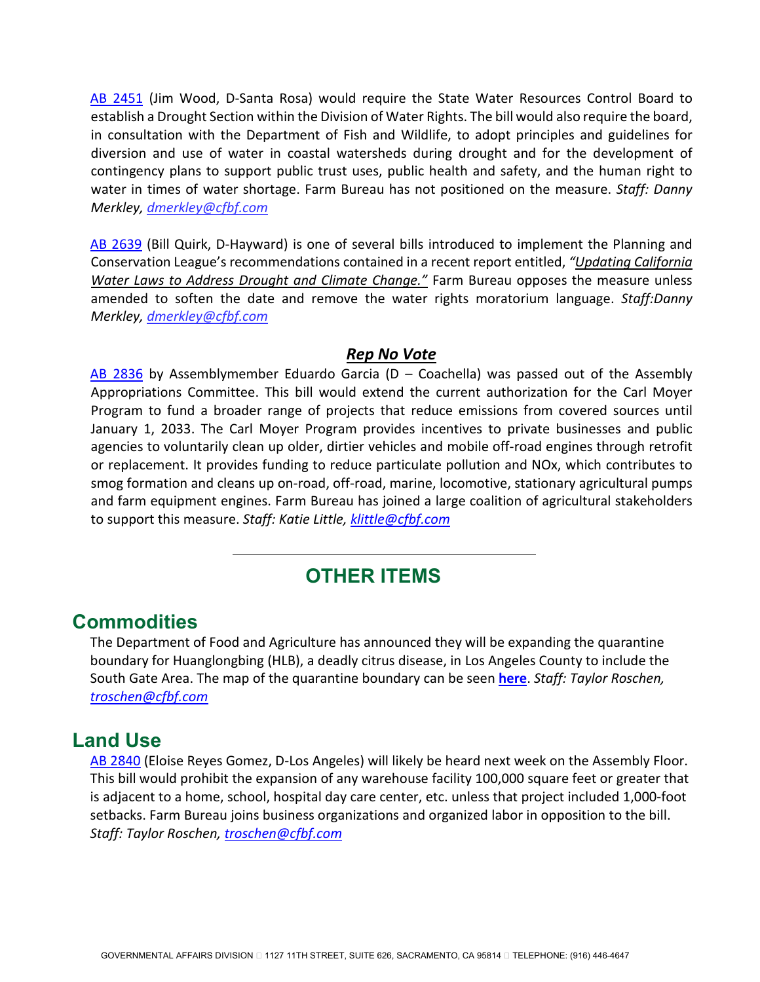[AB 2451](https://leginfo.legislature.ca.gov/faces/billNavClient.xhtml?bill_id=202120220AB2451) (Jim Wood, D-Santa Rosa) would require the State Water Resources Control Board to establish a Drought Section within the Division of Water Rights. The bill would also require the board, in consultation with the Department of Fish and Wildlife, to adopt principles and guidelines for diversion and use of water in coastal watersheds during drought and for the development of contingency plans to support public trust uses, public health and safety, and the human right to water in times of water shortage. Farm Bureau has not positioned on the measure. *Staff: Danny Merkley, [dmerkley@cfbf.com](mailto:dmerkley@cfbf.com)*

[AB 2639](https://leginfo.legislature.ca.gov/faces/billNavClient.xhtml?bill_id=202120220AB2639) (Bill Quirk, D-Hayward) is one of several bills introduced to implement the Planning and Conservation League's recommendations contained in a recent report entitled, *["Updating California](https://nam10.safelinks.protection.outlook.com/?url=https%3A%2F%2Fwww.pcl.org%2Fmedia%2F2022%2F02%2FUpdating-California-Water-Laws-to-Address-with-Drought-and-Climate-Change.pdf&data=04%7C01%7Cdmerkley%40cfbf.com%7C76347d79b64048a6bf2008d9f6ed86e2%7C8213ac7c9da54f9b9c40e0372e5a7659%7C0%7C1%7C637812322314292289%7CUnknown%7CTWFpbGZsb3d8eyJWIjoiMC4wLjAwMDAiLCJQIjoiV2luMzIiLCJBTiI6Ik1haWwiLCJXVCI6Mn0%3D%7C3000&sdata=I%2BIJ8%2FMpuw91YSR0k2vw1It23a6qMPzcp5GW1enxjwc%3D&reserved=0)  [Water Laws to Address Drought and Climate Change.](https://nam10.safelinks.protection.outlook.com/?url=https%3A%2F%2Fwww.pcl.org%2Fmedia%2F2022%2F02%2FUpdating-California-Water-Laws-to-Address-with-Drought-and-Climate-Change.pdf&data=04%7C01%7Cdmerkley%40cfbf.com%7C76347d79b64048a6bf2008d9f6ed86e2%7C8213ac7c9da54f9b9c40e0372e5a7659%7C0%7C1%7C637812322314292289%7CUnknown%7CTWFpbGZsb3d8eyJWIjoiMC4wLjAwMDAiLCJQIjoiV2luMzIiLCJBTiI6Ik1haWwiLCJXVCI6Mn0%3D%7C3000&sdata=I%2BIJ8%2FMpuw91YSR0k2vw1It23a6qMPzcp5GW1enxjwc%3D&reserved=0)"* Farm Bureau opposes the measure unless amended to soften the date and remove the water rights moratorium language. *Staff:Danny Merkley, [dmerkley@cfbf.com](mailto:dmerkley@cfbf.com)* 

#### *Rep No Vote*

[AB 2836](https://leginfo.legislature.ca.gov/faces/billNavClient.xhtml?bill_id=202120220AB2836) by Assemblymember Eduardo Garcia ( $D -$  Coachella) was passed out of the Assembly Appropriations Committee. This bill would extend the current authorization for the Carl Moyer Program to fund a broader range of projects that reduce emissions from covered sources until January 1, 2033. The Carl Moyer Program provides incentives to private businesses and public agencies to voluntarily clean up older, dirtier vehicles and mobile off-road engines through retrofit or replacement. It provides funding to reduce particulate pollution and NOx, which contributes to smog formation and cleans up on-road, off-road, marine, locomotive, stationary agricultural pumps and farm equipment engines. Farm Bureau has joined a large coalition of agricultural stakeholders to support this measure. *Staff: Katie Little, [klittle@cfbf.com](mailto:klittle@cfbf.com)* 

# **OTHER ITEMS**

### **Commodities**

The Department of Food and Agriculture has announced they will be expanding the quarantine boundary for Huanglongbing (HLB), a deadly citrus disease, in Los Angeles County to include the South Gate Area. The map of the quarantine boundary can be seen **[here](https://nam10.safelinks.protection.outlook.com/?url=http%3A%2F%2Flists.cdfa.ca.gov%2Ft%2F164139%2F171138%2F1338%2F1%2F&data=05%7C01%7Ctroschen%40cfbf.com%7C1dda980485ea469f8b4b08da38399a97%7C8213ac7c9da54f9b9c40e0372e5a7659%7C0%7C1%7C637884117314193833%7CUnknown%7CTWFpbGZsb3d8eyJWIjoiMC4wLjAwMDAiLCJQIjoiV2luMzIiLCJBTiI6Ik1haWwiLCJXVCI6Mn0%3D%7C3000%7C%7C%7C&sdata=GFdUIc1aZt7a7ULiyMLx7SMk3OmkhizGdagAY7VmVdk%3D&reserved=0)**. *Staff: Taylor Roschen, [troschen@cfbf.com](mailto:troschen@cfbf.com)* 

## **Land Use**

[AB 2840](https://leginfo.legislature.ca.gov/faces/billNavClient.xhtml?bill_id=202120220AB2840) (Eloise Reyes Gomez, D-Los Angeles) will likely be heard next week on the Assembly Floor. This bill would prohibit the expansion of any warehouse facility 100,000 square feet or greater that is adjacent to a home, school, hospital day care center, etc. unless that project included 1,000-foot setbacks. Farm Bureau joins business organizations and organized labor in opposition to the bill. *Staff: Taylor Roschen, [troschen@cfbf.com](mailto:troschen@cfbf.com)*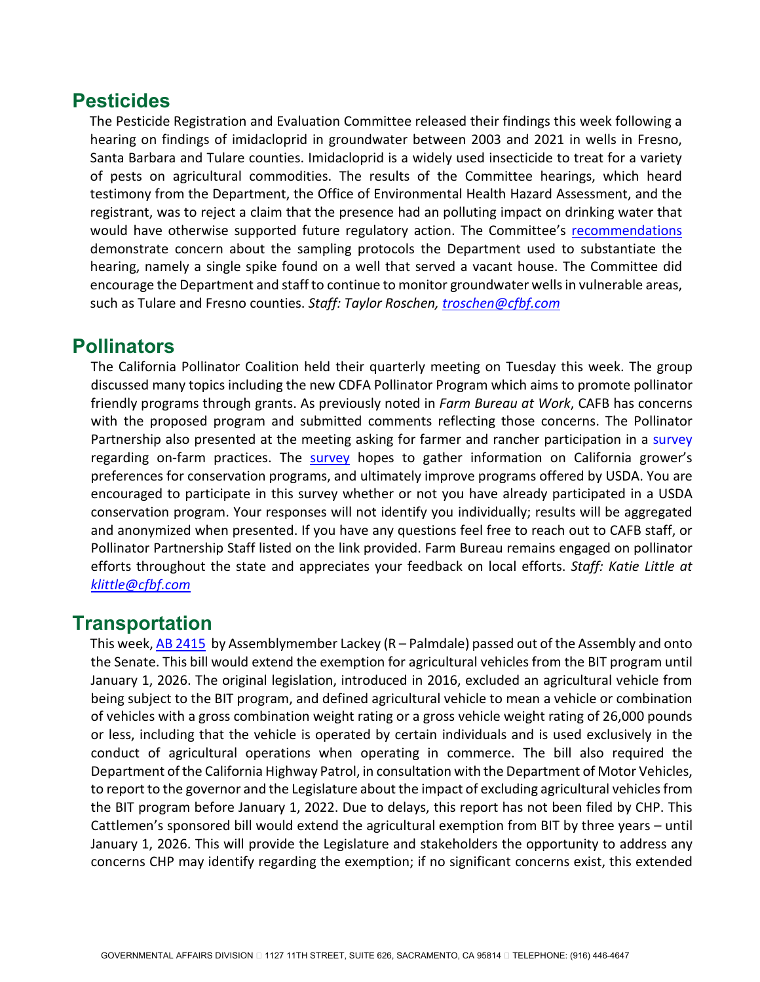## **Pesticides**

The Pesticide Registration and Evaluation Committee released their findings this week following a hearing on findings of imidacloprid in groundwater between 2003 and 2021 in wells in Fresno, Santa Barbara and Tulare counties. Imidacloprid is a widely used insecticide to treat for a variety of pests on agricultural commodities. The results of the Committee hearings, which heard testimony from the Department, the Office of Environmental Health Hazard Assessment, and the registrant, was to reject a claim that the presence had an polluting impact on drinking water that would have otherwise supported future regulatory action. The Committee's [recommendations](https://www.cdpr.ca.gov/docs/emon/grndwtr/imidacloprid/prec_findings_recommendations.pdf) demonstrate concern about the sampling protocols the Department used to substantiate the hearing, namely a single spike found on a well that served a vacant house. The Committee did encourage the Department and staff to continue to monitor groundwater wells in vulnerable areas, such as Tulare and Fresno counties. *Staff: Taylor Roschen, [troschen@cfbf.com](mailto:troschen@cfbf.com)*

# **Pollinators**

The California Pollinator Coalition held their quarterly meeting on Tuesday this week. The group discussed many topics including the new CDFA Pollinator Program which aims to promote pollinator friendly programs through grants. As previously noted in *Farm Bureau at Work*, CAFB has concerns with the proposed program and submitted comments reflecting those concerns. The Pollinator Partnership also presented at the meeting asking for farmer and rancher participation in a [survey](https://www.pollinator.org/ca-farm-habitat-conservation-survey) regarding on-farm practices. The [survey](https://www.pollinator.org/ca-farm-habitat-conservation-survey) hopes to gather information on California grower's preferences for conservation programs, and ultimately improve programs offered by USDA. You are encouraged to participate in this survey whether or not you have already participated in a USDA conservation program. Your responses will not identify you individually; results will be aggregated and anonymized when presented. If you have any questions feel free to reach out to CAFB staff, or Pollinator Partnership Staff listed on the link provided. Farm Bureau remains engaged on pollinator efforts throughout the state and appreciates your feedback on local efforts. *Staff: Katie Little at [klittle@cfbf.com](mailto:klittle@cfbf.com)*

# **Transportation**

This week[, AB 2415](https://leginfo.legislature.ca.gov/faces/billNavClient.xhtml?bill_id=202120220AB2415) by Assemblymember Lackey (R – Palmdale) passed out of the Assembly and onto the Senate. This bill would extend the exemption for agricultural vehicles from the BIT program until January 1, 2026. The original legislation, introduced in 2016, excluded an agricultural vehicle from being subject to the BIT program, and defined agricultural vehicle to mean a vehicle or combination of vehicles with a gross combination weight rating or a gross vehicle weight rating of 26,000 pounds or less, including that the vehicle is operated by certain individuals and is used exclusively in the conduct of agricultural operations when operating in commerce. The bill also required the Department of the California Highway Patrol, in consultation with the Department of Motor Vehicles, to report to the governor and the Legislature about the impact of excluding agricultural vehicles from the BIT program before January 1, 2022. Due to delays, this report has not been filed by CHP. This Cattlemen's sponsored bill would extend the agricultural exemption from BIT by three years – until January 1, 2026. This will provide the Legislature and stakeholders the opportunity to address any concerns CHP may identify regarding the exemption; if no significant concerns exist, this extended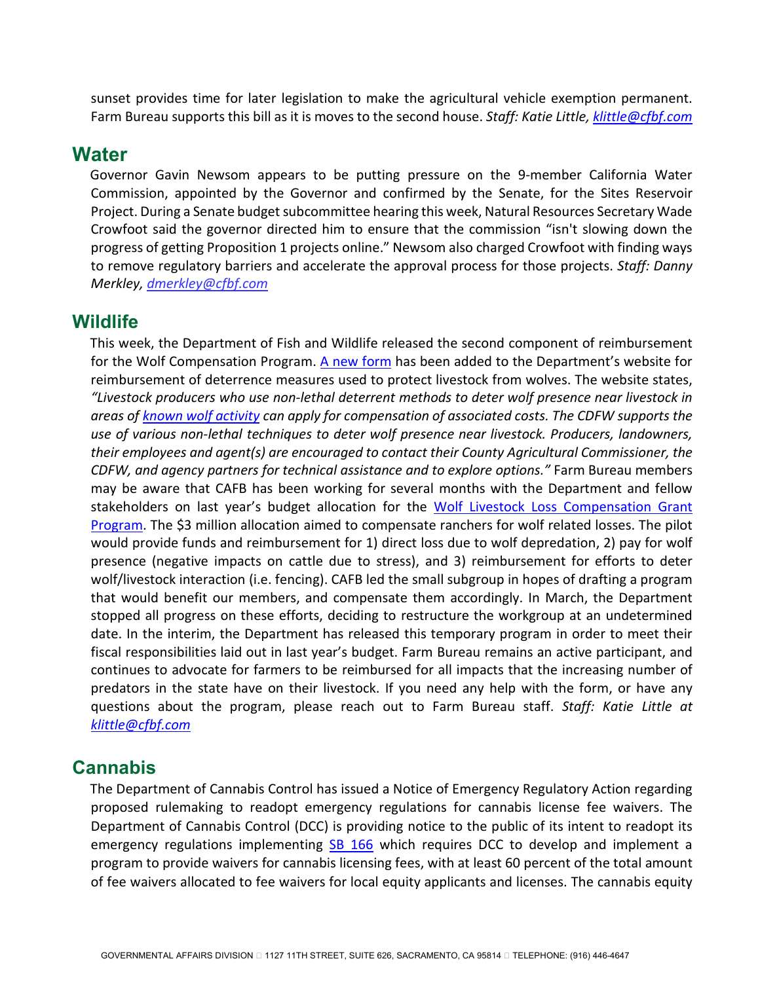sunset provides time for later legislation to make the agricultural vehicle exemption permanent. Farm Bureau supports this bill as it is moves to the second house. *Staff: Katie Little[, klittle@cfbf.com](mailto:klittle@cfbf.com)*

#### **Water**

Governor Gavin Newsom appears to be putting pressure on the 9-member California Water Commission, appointed by the Governor and confirmed by the Senate, for the Sites Reservoir Project. During a Senate budget subcommittee hearing this week, Natural Resources Secretary Wade Crowfoot said the governor directed him to ensure that the commission "isn't slowing down the progress of getting Proposition 1 projects online." Newsom also charged Crowfoot with finding ways to remove regulatory barriers and accelerate the approval process for those projects. *Staff: Danny Merkley, [dmerkley@cfbf.com](mailto:dmerkley@cfbf.com)* 

#### **Wildlife**

This week, the Department of Fish and Wildlife released the second component of reimbursement for the Wolf Compensation Program. A new form has been added to the Department's website for reimbursement of deterrence measures used to protect livestock from wolves. The website states, *"Livestock producers who use non-lethal deterrent methods to deter wolf presence near livestock in areas of [known wolf activity](https://wildlife.ca.gov/Conservation/Mammals/Gray-Wolf#559682741-known-wolves-in-california) can apply for compensation of associated costs. The CDFW supports the use of various non-lethal techniques to deter wolf presence near livestock. Producers, landowners, their employees and agent(s) are encouraged to contact their County Agricultural Commissioner, the CDFW, and agency partners for technical assistance and to explore options."* Farm Bureau members may be aware that CAFB has been working for several months with the Department and fellow stakeholders on last year's budget allocation for the Wolf Livestock Loss Compensation Grant [Program.](https://wildlife.ca.gov/Conservation/Mammals/Gray-Wolf#559671134-wolf-livestock-loss-compensation-grant-program) The \$3 million allocation aimed to compensate ranchers for wolf related losses. The pilot would provide funds and reimbursement for 1) direct loss due to wolf depredation, 2) pay for wolf presence (negative impacts on cattle due to stress), and 3) reimbursement for efforts to deter wolf/livestock interaction (i.e. fencing). CAFB led the small subgroup in hopes of drafting a program that would benefit our members, and compensate them accordingly. In March, the Department stopped all progress on these efforts, deciding to restructure the workgroup at an undetermined date. In the interim, the Department has released this temporary program in order to meet their fiscal responsibilities laid out in last year's budget. Farm Bureau remains an active participant, and continues to advocate for farmers to be reimbursed for all impacts that the increasing number of predators in the state have on their livestock. If you need any help with the form, or have any questions about the program, please reach out to Farm Bureau staff. *Staff: Katie Little at [klittle@cfbf.com](mailto:klittle@cfbf.com)*

#### **Cannabis**

The Department of Cannabis Control has issued a Notice of Emergency Regulatory Action regarding proposed rulemaking to readopt emergency regulations for cannabis license fee waivers. The Department of Cannabis Control (DCC) is providing notice to the public of its intent to readopt its emergency regulations implementing [SB 166](https://leginfo.legislature.ca.gov/faces/billNavClient.xhtml?bill_id=202120220SB166) which requires DCC to develop and implement a program to provide waivers for cannabis licensing fees, with at least 60 percent of the total amount of fee waivers allocated to fee waivers for local equity applicants and licenses. The cannabis equity